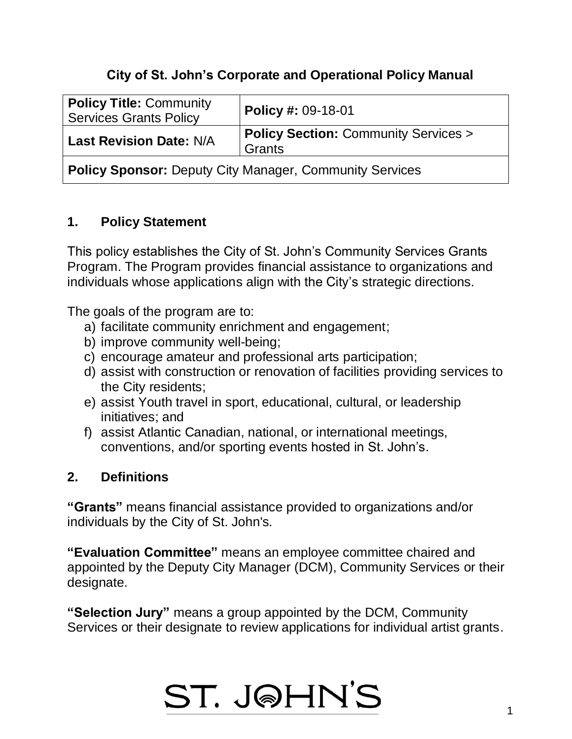## **City of St. John's Corporate and Operational Policy Manual**

| <b>Policy Title: Community</b><br><b>Services Grants Policy</b> | <b>Policy #: 09-18-01</b>                      |
|-----------------------------------------------------------------|------------------------------------------------|
| <b>Last Revision Date: N/A</b>                                  | <b>Policy Section: Community Services &gt;</b> |
|                                                                 | Grants                                         |
|                                                                 |                                                |

**Policy Sponsor:** Deputy City Manager, Community Services

### **1. Policy Statement**

This policy establishes the City of St. John's Community Services Grants Program. The Program provides financial assistance to organizations and individuals whose applications align with the City's strategic directions.

The goals of the program are to:

- a) facilitate community enrichment and engagement;
- b) improve community well-being;
- c) encourage amateur and professional arts participation;
- d) assist with construction or renovation of facilities providing services to the City residents;
- e) assist Youth travel in sport, educational, cultural, or leadership initiatives; and
- f) assist Atlantic Canadian, national, or international meetings, conventions, and/or sporting events hosted in St. John's.

### **2. Definitions**

**"Grants"** means financial assistance provided to organizations and/or individuals by the City of St. John's.

**"Evaluation Committee"** means an employee committee chaired and appointed by the Deputy City Manager (DCM), Community Services or their designate.

**"Selection Jury"** means a group appointed by the DCM, Community Services or their designate to review applications for individual artist grants.

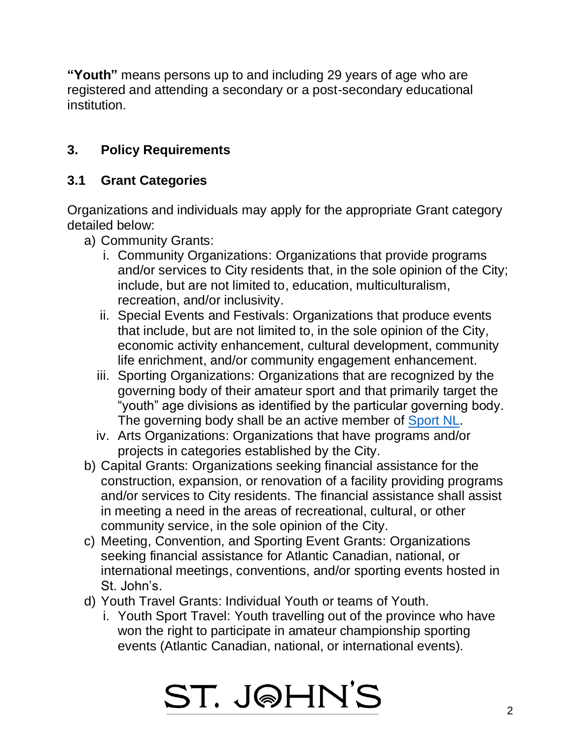**"Youth"** means persons up to and including 29 years of age who are registered and attending a secondary or a post-secondary educational institution.

## **3. Policy Requirements**

## **3.1 Grant Categories**

Organizations and individuals may apply for the appropriate Grant category detailed below:

- a) Community Grants:
	- i. Community Organizations: Organizations that provide programs and/or services to City residents that, in the sole opinion of the City; include, but are not limited to, education, multiculturalism, recreation, and/or inclusivity.
	- ii. Special Events and Festivals: Organizations that produce events that include, but are not limited to, in the sole opinion of the City, economic activity enhancement, cultural development, community life enrichment, and/or community engagement enhancement.
	- iii. Sporting Organizations: Organizations that are recognized by the governing body of their amateur sport and that primarily target the "youth" age divisions as identified by the particular governing body. The governing body shall be an active member of [Sport NL.](https://sportnl.ca/programs-services/become-a-member/)
	- iv. Arts Organizations: Organizations that have programs and/or projects in categories established by the City.
- b) Capital Grants: Organizations seeking financial assistance for the construction, expansion, or renovation of a facility providing programs and/or services to City residents. The financial assistance shall assist in meeting a need in the areas of recreational, cultural, or other community service, in the sole opinion of the City.
- c) Meeting, Convention, and Sporting Event Grants: Organizations seeking financial assistance for Atlantic Canadian, national, or international meetings, conventions, and/or sporting events hosted in St. John's.
- d) Youth Travel Grants: Individual Youth or teams of Youth.
	- i. Youth Sport Travel: Youth travelling out of the province who have won the right to participate in amateur championship sporting events (Atlantic Canadian, national, or international events).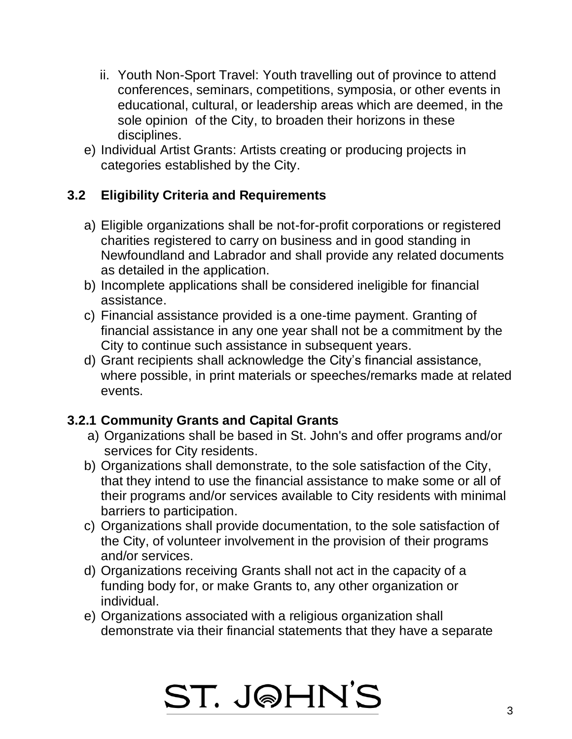- ii. Youth Non-Sport Travel: Youth travelling out of province to attend conferences, seminars, competitions, symposia, or other events in educational, cultural, or leadership areas which are deemed, in the sole opinion of the City, to broaden their horizons in these disciplines.
- e) Individual Artist Grants: Artists creating or producing projects in categories established by the City.

## **3.2 Eligibility Criteria and Requirements**

- a) Eligible organizations shall be not-for-profit corporations or registered charities registered to carry on business and in good standing in Newfoundland and Labrador and shall provide any related documents as detailed in the application.
- b) Incomplete applications shall be considered ineligible for financial assistance.
- c) Financial assistance provided is a one-time payment. Granting of financial assistance in any one year shall not be a commitment by the City to continue such assistance in subsequent years.
- d) Grant recipients shall acknowledge the City's financial assistance, where possible, in print materials or speeches/remarks made at related events.

### **3.2.1 Community Grants and Capital Grants**

- a) Organizations shall be based in St. John's and offer programs and/or services for City residents.
- b) Organizations shall demonstrate, to the sole satisfaction of the City, that they intend to use the financial assistance to make some or all of their programs and/or services available to City residents with minimal barriers to participation.
- c) Organizations shall provide documentation, to the sole satisfaction of the City, of volunteer involvement in the provision of their programs and/or services.
- d) Organizations receiving Grants shall not act in the capacity of a funding body for, or make Grants to, any other organization or individual.
- e) Organizations associated with a religious organization shall demonstrate via their financial statements that they have a separate

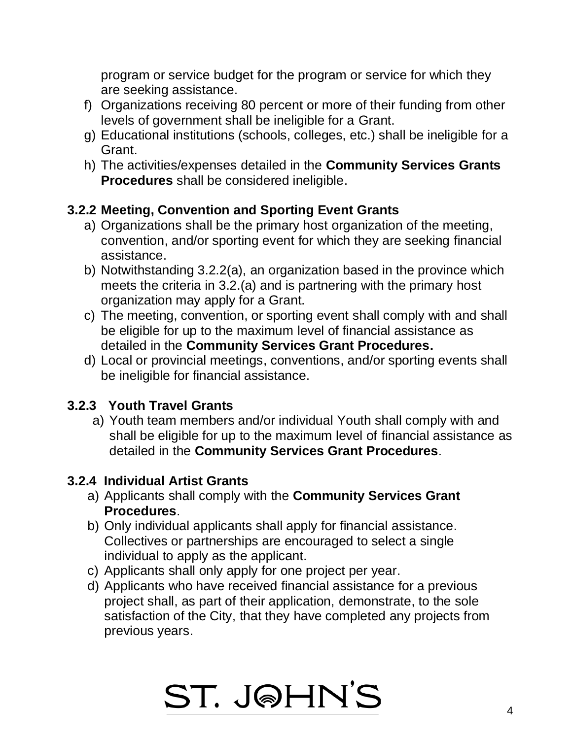program or service budget for the program or service for which they are seeking assistance.

- f) Organizations receiving 80 percent or more of their funding from other levels of government shall be ineligible for a Grant.
- g) Educational institutions (schools, colleges, etc.) shall be ineligible for a Grant.
- h) The activities/expenses detailed in the **Community Services Grants Procedures** shall be considered ineligible.

### **3.2.2 Meeting, Convention and Sporting Event Grants**

- a) Organizations shall be the primary host organization of the meeting, convention, and/or sporting event for which they are seeking financial assistance.
- b) Notwithstanding 3.2.2(a), an organization based in the province which meets the criteria in 3.2.(a) and is partnering with the primary host organization may apply for a Grant.
- c) The meeting, convention, or sporting event shall comply with and shall be eligible for up to the maximum level of financial assistance as detailed in the **Community Services Grant Procedures.**
- d) Local or provincial meetings, conventions, and/or sporting events shall be ineligible for financial assistance.

### **3.2.3 Youth Travel Grants**

a) Youth team members and/or individual Youth shall comply with and shall be eligible for up to the maximum level of financial assistance as detailed in the **Community Services Grant Procedures**.

### **3.2.4 Individual Artist Grants**

- a) Applicants shall comply with the **Community Services Grant Procedures**.
- b) Only individual applicants shall apply for financial assistance. Collectives or partnerships are encouraged to select a single individual to apply as the applicant.
- c) Applicants shall only apply for one project per year.
- d) Applicants who have received financial assistance for a previous project shall, as part of their application, demonstrate, to the sole satisfaction of the City, that they have completed any projects from previous years.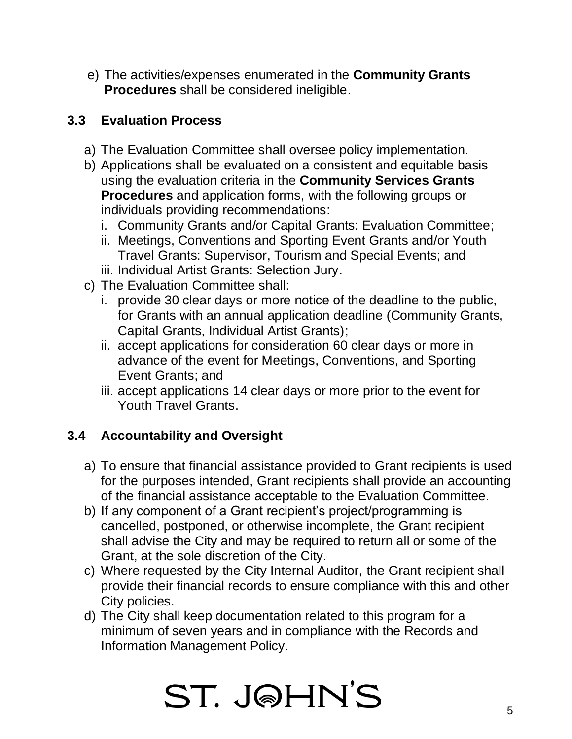e) The activities/expenses enumerated in the **Community Grants Procedures** shall be considered ineligible.

## **3.3 Evaluation Process**

- a) The Evaluation Committee shall oversee policy implementation.
- b) Applications shall be evaluated on a consistent and equitable basis using the evaluation criteria in the **Community Services Grants Procedures** and application forms, with the following groups or individuals providing recommendations:
	- i. Community Grants and/or Capital Grants: Evaluation Committee;
	- ii. Meetings, Conventions and Sporting Event Grants and/or Youth Travel Grants: Supervisor, Tourism and Special Events; and
	- iii. Individual Artist Grants: Selection Jury.
- c) The Evaluation Committee shall:
	- i. provide 30 clear days or more notice of the deadline to the public, for Grants with an annual application deadline (Community Grants, Capital Grants, Individual Artist Grants);
	- ii. accept applications for consideration 60 clear days or more in advance of the event for Meetings, Conventions, and Sporting Event Grants; and
	- iii. accept applications 14 clear days or more prior to the event for Youth Travel Grants.

## **3.4 Accountability and Oversight**

- a) To ensure that financial assistance provided to Grant recipients is used for the purposes intended, Grant recipients shall provide an accounting of the financial assistance acceptable to the Evaluation Committee.
- b) If any component of a Grant recipient's project/programming is cancelled, postponed, or otherwise incomplete, the Grant recipient shall advise the City and may be required to return all or some of the Grant, at the sole discretion of the City.
- c) Where requested by the City Internal Auditor, the Grant recipient shall provide their financial records to ensure compliance with this and other City policies.
- d) The City shall keep documentation related to this program for a minimum of seven years and in compliance with the Records and Information Management Policy.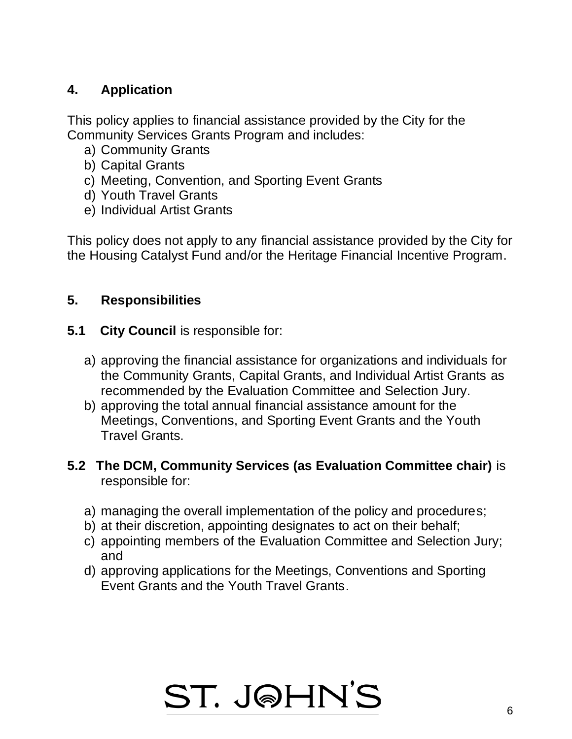## **4. Application**

This policy applies to financial assistance provided by the City for the Community Services Grants Program and includes:

- a) Community Grants
- b) Capital Grants
- c) Meeting, Convention, and Sporting Event Grants
- d) Youth Travel Grants
- e) Individual Artist Grants

This policy does not apply to any financial assistance provided by the City for the Housing Catalyst Fund and/or the Heritage Financial Incentive Program.

### **5. Responsibilities**

- **5.1 City Council** is responsible for:
	- a) approving the financial assistance for organizations and individuals for the Community Grants, Capital Grants, and Individual Artist Grants as recommended by the Evaluation Committee and Selection Jury.
	- b) approving the total annual financial assistance amount for the Meetings, Conventions, and Sporting Event Grants and the Youth Travel Grants.

### **5.2 The DCM, Community Services (as Evaluation Committee chair)** is responsible for:

- a) managing the overall implementation of the policy and procedures;
- b) at their discretion, appointing designates to act on their behalf;
- c) appointing members of the Evaluation Committee and Selection Jury; and
- d) approving applications for the Meetings, Conventions and Sporting Event Grants and the Youth Travel Grants.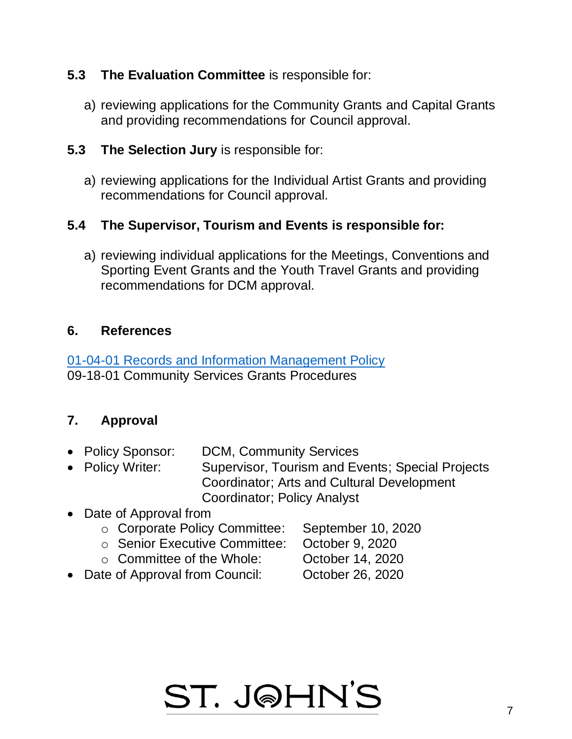### **5.3 The Evaluation Committee** is responsible for:

a) reviewing applications for the Community Grants and Capital Grants and providing recommendations for Council approval.

#### **5.3 The Selection Jury** is responsible for:

a) reviewing applications for the Individual Artist Grants and providing recommendations for Council approval.

### **5.4 The Supervisor, Tourism and Events is responsible for:**

a) reviewing individual applications for the Meetings, Conventions and Sporting Event Grants and the Youth Travel Grants and providing recommendations for DCM approval.

#### **6. References**

[01-04-01 Records and Information Management Policy](http://www.stjohns.ca/policies.nsf/nwPolicyNum/01-04-01) 09-18-01 Community Services Grants Procedures

#### **7. Approval**

- Policy Sponsor: DCM, Community Services
- Policy Writer: Supervisor, Tourism and Events; Special Projects Coordinator; Arts and Cultural Development Coordinator; Policy Analyst
- Date of Approval from
	- o Corporate Policy Committee: September 10, 2020
	- o Senior Executive Committee: October 9, 2020
	- o Committee of the Whole: October 14, 2020
- 
- -
- Date of Approval from Council: October 26, 2020